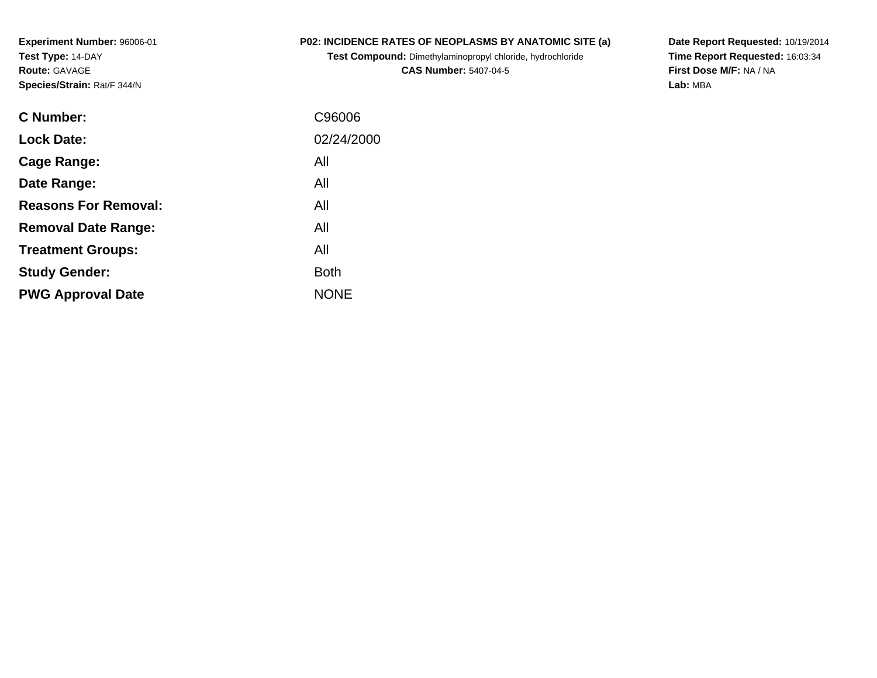**Experiment Number:** 96006-01**Test Type:** 14-DAY**Route:** GAVAGE**Species/Strain:** Rat/F 344/N

## **P02: INCIDENCE RATES OF NEOPLASMS BY ANATOMIC SITE (a)**

**Test Compound:** Dimethylaminopropyl chloride, hydrochloride**CAS Number:** 5407-04-5

**Date Report Requested:** 10/19/2014 **Time Report Requested:** 16:03:34**First Dose M/F:** NA / NA**Lab:** MBA

| C96006      |
|-------------|
| 02/24/2000  |
| All         |
| All         |
| All         |
| All         |
| All         |
| <b>Both</b> |
| <b>NONE</b> |
|             |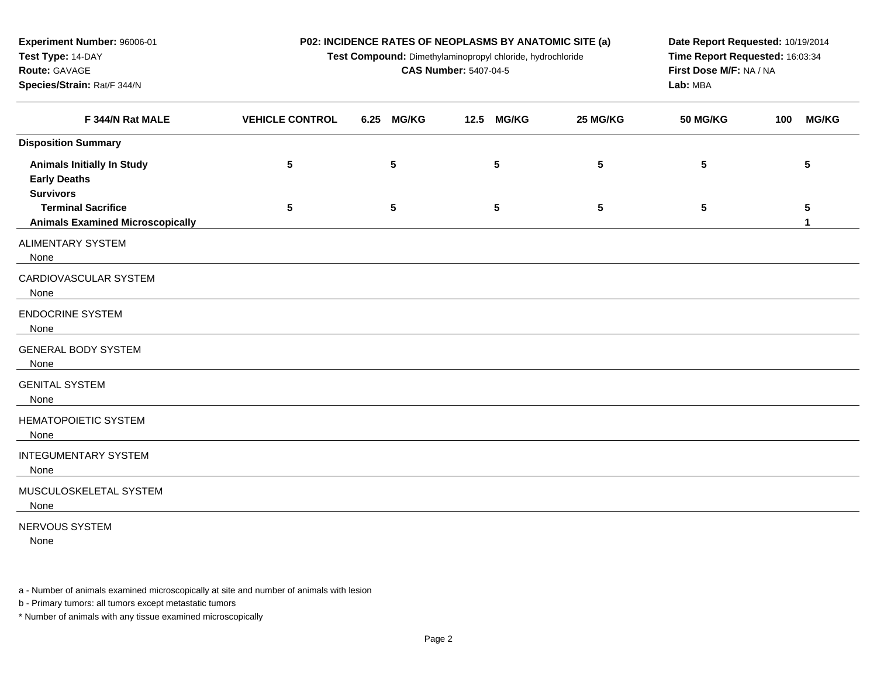| Experiment Number: 96006-01                                                  | P02: INCIDENCE RATES OF NEOPLASMS BY ANATOMIC SITE (a) | Date Report Requested: 10/19/2014                                                             |                              |          |                         |                     |  |  |
|------------------------------------------------------------------------------|--------------------------------------------------------|-----------------------------------------------------------------------------------------------|------------------------------|----------|-------------------------|---------------------|--|--|
| Test Type: 14-DAY                                                            |                                                        | Time Report Requested: 16:03:34<br>Test Compound: Dimethylaminopropyl chloride, hydrochloride |                              |          |                         |                     |  |  |
| Route: GAVAGE                                                                |                                                        |                                                                                               | <b>CAS Number: 5407-04-5</b> |          | First Dose M/F: NA / NA |                     |  |  |
| Species/Strain: Rat/F 344/N                                                  |                                                        |                                                                                               |                              | Lab: MBA |                         |                     |  |  |
| F 344/N Rat MALE                                                             | <b>VEHICLE CONTROL</b>                                 | <b>MG/KG</b><br>6.25                                                                          | <b>MG/KG</b><br>12.5         | 25 MG/KG | <b>50 MG/KG</b>         | <b>MG/KG</b><br>100 |  |  |
| <b>Disposition Summary</b>                                                   |                                                        |                                                                                               |                              |          |                         |                     |  |  |
| <b>Animals Initially In Study</b><br><b>Early Deaths</b><br><b>Survivors</b> | 5                                                      | 5                                                                                             | 5                            | 5        | 5                       | 5                   |  |  |
| <b>Terminal Sacrifice</b><br><b>Animals Examined Microscopically</b>         | 5                                                      | 5                                                                                             | 5                            | 5        | 5                       | 5<br>1              |  |  |
| <b>ALIMENTARY SYSTEM</b><br>None                                             |                                                        |                                                                                               |                              |          |                         |                     |  |  |
| CARDIOVASCULAR SYSTEM<br>None                                                |                                                        |                                                                                               |                              |          |                         |                     |  |  |
| <b>ENDOCRINE SYSTEM</b><br>None                                              |                                                        |                                                                                               |                              |          |                         |                     |  |  |
| <b>GENERAL BODY SYSTEM</b><br>None                                           |                                                        |                                                                                               |                              |          |                         |                     |  |  |
| <b>GENITAL SYSTEM</b><br>None                                                |                                                        |                                                                                               |                              |          |                         |                     |  |  |
| <b>HEMATOPOIETIC SYSTEM</b><br>None                                          |                                                        |                                                                                               |                              |          |                         |                     |  |  |
| <b>INTEGUMENTARY SYSTEM</b><br>None                                          |                                                        |                                                                                               |                              |          |                         |                     |  |  |
| MUSCULOSKELETAL SYSTEM<br>None                                               |                                                        |                                                                                               |                              |          |                         |                     |  |  |
| NERVOUS SYSTEM                                                               |                                                        |                                                                                               |                              |          |                         |                     |  |  |

None

a - Number of animals examined microscopically at site and number of animals with lesion

b - Primary tumors: all tumors except metastatic tumors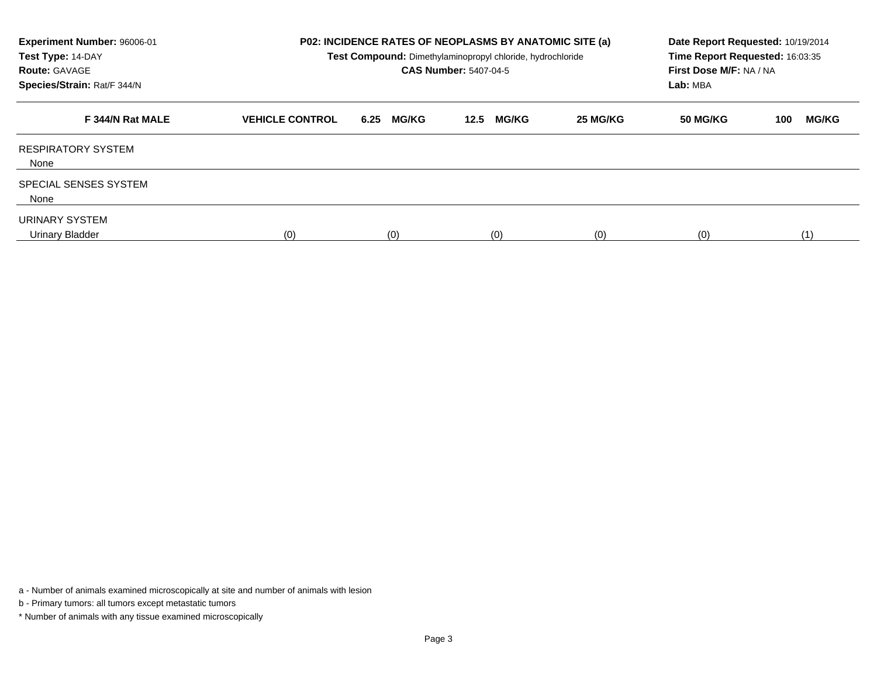| Experiment Number: 96006-01<br>Test Type: 14-DAY<br><b>Route: GAVAGE</b><br>Species/Strain: Rat/F 344/N |                        |                      | <b>P02: INCIDENCE RATES OF NEOPLASMS BY ANATOMIC SITE (a)</b><br>Test Compound: Dimethylaminopropyl chloride, hydrochloride<br><b>CAS Number: 5407-04-5</b> |          | Date Report Requested: 10/19/2014<br>Time Report Requested: 16:03:35<br>First Dose M/F: NA / NA<br>Lab: MBA |                     |  |  |
|---------------------------------------------------------------------------------------------------------|------------------------|----------------------|-------------------------------------------------------------------------------------------------------------------------------------------------------------|----------|-------------------------------------------------------------------------------------------------------------|---------------------|--|--|
| F 344/N Rat MALE                                                                                        | <b>VEHICLE CONTROL</b> | <b>MG/KG</b><br>6.25 | <b>MG/KG</b><br>12.5                                                                                                                                        | 25 MG/KG | 50 MG/KG                                                                                                    | <b>MG/KG</b><br>100 |  |  |
| <b>RESPIRATORY SYSTEM</b><br>None                                                                       |                        |                      |                                                                                                                                                             |          |                                                                                                             |                     |  |  |
| SPECIAL SENSES SYSTEM<br>None                                                                           |                        |                      |                                                                                                                                                             |          |                                                                                                             |                     |  |  |
| URINARY SYSTEM<br>Urinary Bladder                                                                       | (0)                    | (0)                  | (0)                                                                                                                                                         | (0)      | (0)                                                                                                         | (1)                 |  |  |

a - Number of animals examined microscopically at site and number of animals with lesion

b - Primary tumors: all tumors except metastatic tumors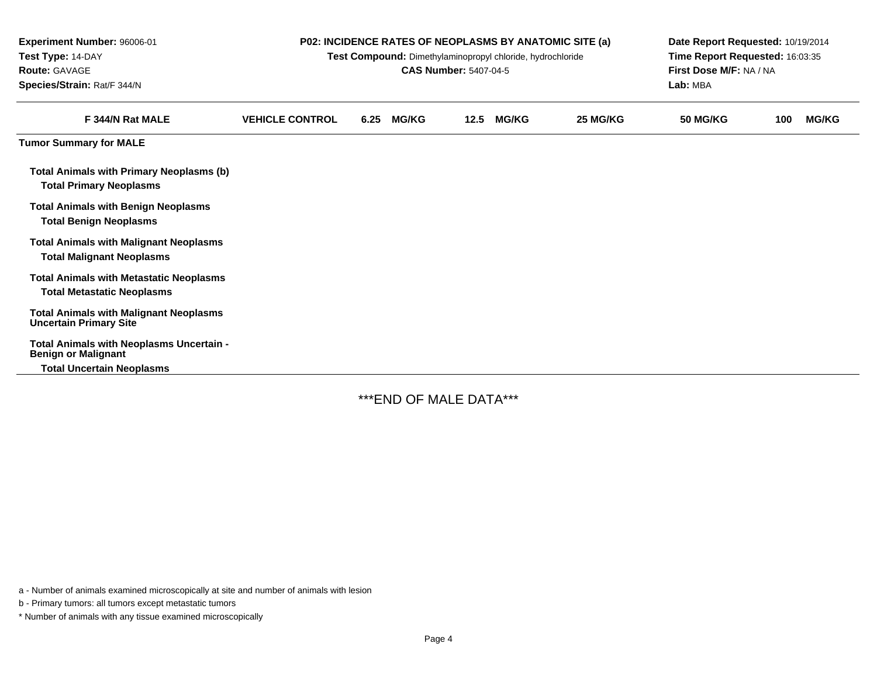| Experiment Number: 96006-01<br>Test Type: 14-DAY<br><b>Route: GAVAGE</b><br>Species/Strain: Rat/F 344/N | P02: INCIDENCE RATES OF NEOPLASMS BY ANATOMIC SITE (a)<br>Test Compound: Dimethylaminopropyl chloride, hydrochloride<br><b>CAS Number: 5407-04-5</b> |      |              |      |              | Date Report Requested: 10/19/2014<br>Time Report Requested: 16:03:35<br>First Dose M/F: NA / NA<br>Lab: MBA |                 |     |              |
|---------------------------------------------------------------------------------------------------------|------------------------------------------------------------------------------------------------------------------------------------------------------|------|--------------|------|--------------|-------------------------------------------------------------------------------------------------------------|-----------------|-----|--------------|
| F 344/N Rat MALE                                                                                        | <b>VEHICLE CONTROL</b>                                                                                                                               | 6.25 | <b>MG/KG</b> | 12.5 | <b>MG/KG</b> | 25 MG/KG                                                                                                    | <b>50 MG/KG</b> | 100 | <b>MG/KG</b> |
| <b>Tumor Summary for MALE</b>                                                                           |                                                                                                                                                      |      |              |      |              |                                                                                                             |                 |     |              |
| <b>Total Animals with Primary Neoplasms (b)</b><br><b>Total Primary Neoplasms</b>                       |                                                                                                                                                      |      |              |      |              |                                                                                                             |                 |     |              |
| <b>Total Animals with Benign Neoplasms</b><br><b>Total Benign Neoplasms</b>                             |                                                                                                                                                      |      |              |      |              |                                                                                                             |                 |     |              |
| <b>Total Animals with Malignant Neoplasms</b><br><b>Total Malignant Neoplasms</b>                       |                                                                                                                                                      |      |              |      |              |                                                                                                             |                 |     |              |
| <b>Total Animals with Metastatic Neoplasms</b><br><b>Total Metastatic Neoplasms</b>                     |                                                                                                                                                      |      |              |      |              |                                                                                                             |                 |     |              |
| <b>Total Animals with Malignant Neoplasms</b><br><b>Uncertain Primary Site</b>                          |                                                                                                                                                      |      |              |      |              |                                                                                                             |                 |     |              |
| Total Animals with Neoplasms Uncertain -<br><b>Benign or Malignant</b>                                  |                                                                                                                                                      |      |              |      |              |                                                                                                             |                 |     |              |
| <b>Total Uncertain Neoplasms</b>                                                                        |                                                                                                                                                      |      |              |      |              |                                                                                                             |                 |     |              |

\*\*\*END OF MALE DATA\*\*\*

a - Number of animals examined microscopically at site and number of animals with lesion

b - Primary tumors: all tumors except metastatic tumors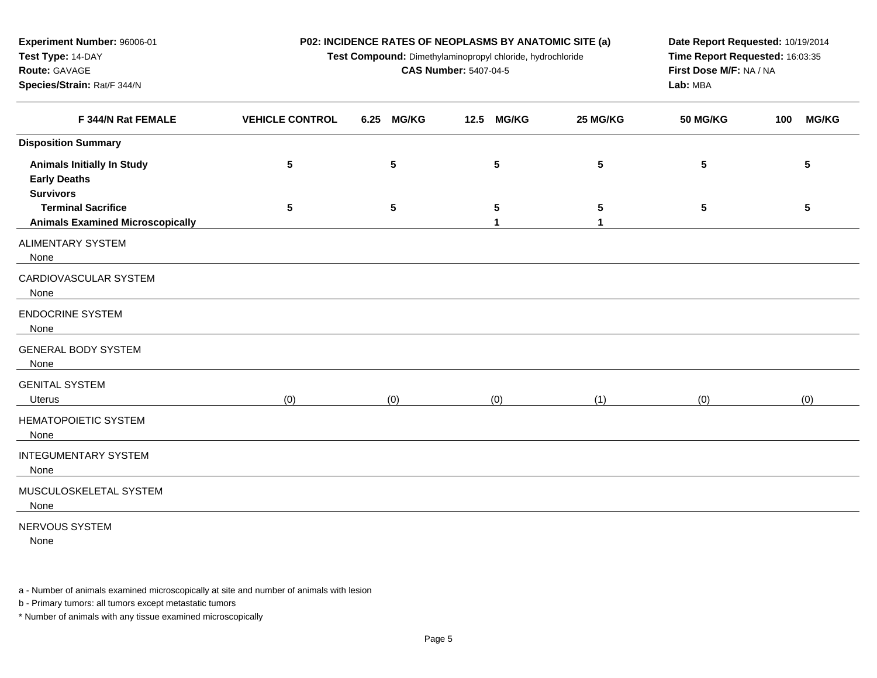| Experiment Number: 96006-01                                          | P02: INCIDENCE RATES OF NEOPLASMS BY ANATOMIC SITE (a) |                                                                                                                                                          | Date Report Requested: 10/19/2014 |          |                 |                     |  |  |
|----------------------------------------------------------------------|--------------------------------------------------------|----------------------------------------------------------------------------------------------------------------------------------------------------------|-----------------------------------|----------|-----------------|---------------------|--|--|
| Test Type: 14-DAY                                                    |                                                        | Time Report Requested: 16:03:35<br>Test Compound: Dimethylaminopropyl chloride, hydrochloride<br>First Dose M/F: NA / NA<br><b>CAS Number: 5407-04-5</b> |                                   |          |                 |                     |  |  |
| Route: GAVAGE                                                        |                                                        |                                                                                                                                                          |                                   |          |                 |                     |  |  |
| Species/Strain: Rat/F 344/N                                          |                                                        |                                                                                                                                                          |                                   | Lab: MBA |                 |                     |  |  |
| F 344/N Rat FEMALE                                                   | <b>VEHICLE CONTROL</b>                                 | 6.25<br><b>MG/KG</b>                                                                                                                                     | <b>MG/KG</b><br>12.5              | 25 MG/KG | <b>50 MG/KG</b> | <b>MG/KG</b><br>100 |  |  |
| <b>Disposition Summary</b>                                           |                                                        |                                                                                                                                                          |                                   |          |                 |                     |  |  |
| <b>Animals Initially In Study</b><br><b>Early Deaths</b>             | 5                                                      | ${\bf 5}$                                                                                                                                                | ${\bf 5}$                         | 5        | 5               | $\sqrt{5}$          |  |  |
| <b>Survivors</b>                                                     |                                                        |                                                                                                                                                          |                                   |          |                 |                     |  |  |
| <b>Terminal Sacrifice</b><br><b>Animals Examined Microscopically</b> | 5                                                      | $5\phantom{.0}$                                                                                                                                          | $\sqrt{5}$<br>1                   | 5<br>1   | 5               | $5\phantom{.0}$     |  |  |
| <b>ALIMENTARY SYSTEM</b><br>None                                     |                                                        |                                                                                                                                                          |                                   |          |                 |                     |  |  |
| CARDIOVASCULAR SYSTEM<br>None                                        |                                                        |                                                                                                                                                          |                                   |          |                 |                     |  |  |
| <b>ENDOCRINE SYSTEM</b><br>None                                      |                                                        |                                                                                                                                                          |                                   |          |                 |                     |  |  |
| <b>GENERAL BODY SYSTEM</b><br>None                                   |                                                        |                                                                                                                                                          |                                   |          |                 |                     |  |  |
| <b>GENITAL SYSTEM</b><br>Uterus                                      | (0)                                                    | (0)                                                                                                                                                      | (0)                               | (1)      | (0)             | (0)                 |  |  |
| <b>HEMATOPOIETIC SYSTEM</b><br>None                                  |                                                        |                                                                                                                                                          |                                   |          |                 |                     |  |  |
| <b>INTEGUMENTARY SYSTEM</b><br>None                                  |                                                        |                                                                                                                                                          |                                   |          |                 |                     |  |  |
| MUSCULOSKELETAL SYSTEM<br>None                                       |                                                        |                                                                                                                                                          |                                   |          |                 |                     |  |  |
| NERVOUS SYSTEM<br>None                                               |                                                        |                                                                                                                                                          |                                   |          |                 |                     |  |  |

a - Number of animals examined microscopically at site and number of animals with lesion

b - Primary tumors: all tumors except metastatic tumors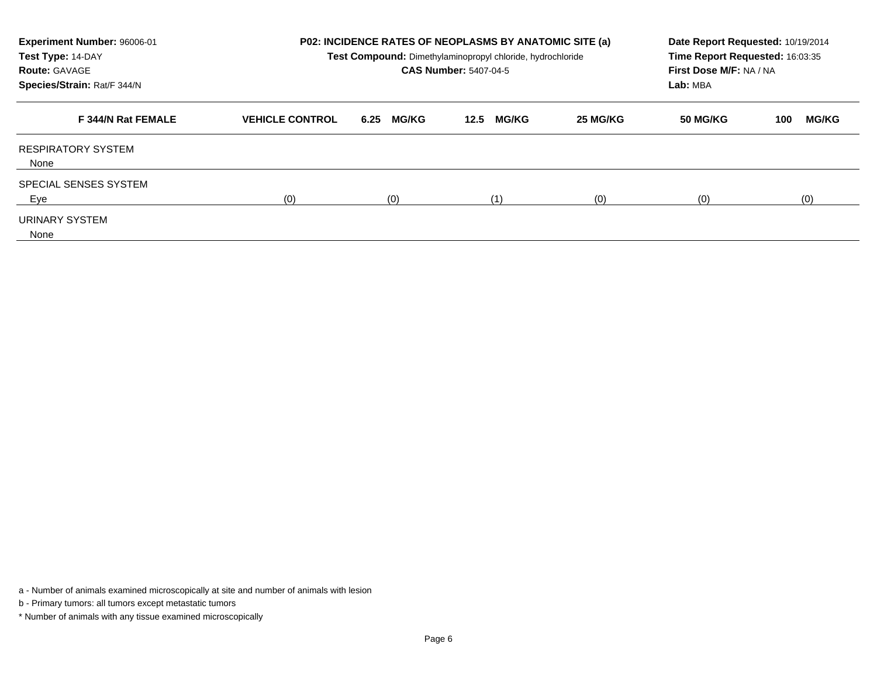| Experiment Number: 96006-01<br>Test Type: 14-DAY<br><b>Route: GAVAGE</b><br>Species/Strain: Rat/F 344/N |                        |                      | <b>P02: INCIDENCE RATES OF NEOPLASMS BY ANATOMIC SITE (a)</b><br>Date Report Requested: 10/19/2014<br>Time Report Requested: 16:03:35<br>Test Compound: Dimethylaminopropyl chloride, hydrochloride<br>First Dose M/F: NA / NA<br><b>CAS Number: 5407-04-5</b><br>Lab: MBA |          |          |                     |  |
|---------------------------------------------------------------------------------------------------------|------------------------|----------------------|----------------------------------------------------------------------------------------------------------------------------------------------------------------------------------------------------------------------------------------------------------------------------|----------|----------|---------------------|--|
| F 344/N Rat FEMALE                                                                                      | <b>VEHICLE CONTROL</b> | <b>MG/KG</b><br>6.25 | <b>MG/KG</b><br>12.5                                                                                                                                                                                                                                                       | 25 MG/KG | 50 MG/KG | <b>MG/KG</b><br>100 |  |
| <b>RESPIRATORY SYSTEM</b><br>None                                                                       |                        |                      |                                                                                                                                                                                                                                                                            |          |          |                     |  |
| <b>SPECIAL SENSES SYSTEM</b><br>Eye                                                                     | (0)                    | (0)                  | (1)                                                                                                                                                                                                                                                                        | (0)      | (0)      | (0)                 |  |
| URINARY SYSTEM<br>None                                                                                  |                        |                      |                                                                                                                                                                                                                                                                            |          |          |                     |  |

a - Number of animals examined microscopically at site and number of animals with lesion

b - Primary tumors: all tumors except metastatic tumors